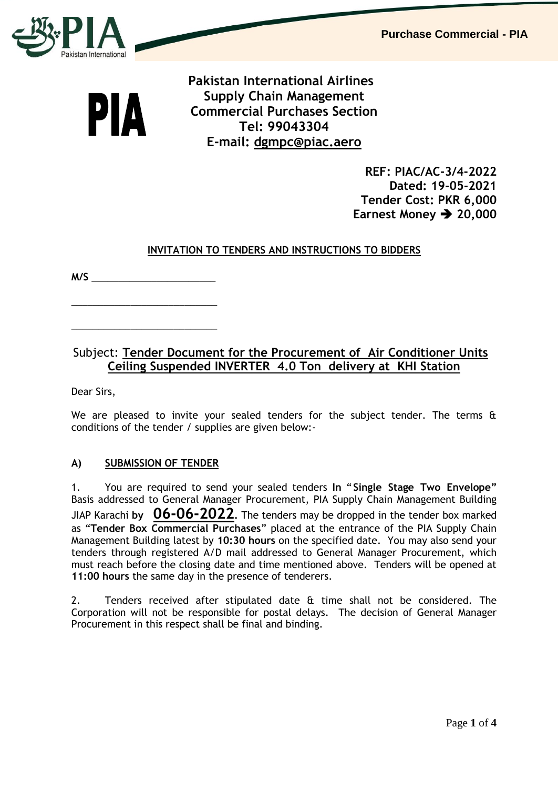**Purchase Commercial - PIA**



PIA

 **Pakistan International Airlines Supply Chain Management Commercial Purchases Section Tel: 99043304 E-mail: [dgmpc@piac.aero](mailto:dgmpc@piac.aero)**

> **REF: PIAC/AC-3/4-2022 Dated: 19-05-2021 Tender Cost: PKR 6,000 Earnest Money → 20,000**

## **INVITATION TO TENDERS AND INSTRUCTIONS TO BIDDERS**

**M/S** \_\_\_\_\_\_\_\_\_\_\_\_\_\_\_\_\_\_\_\_\_\_\_

\_\_\_\_\_\_\_\_\_\_\_\_\_\_\_\_\_\_\_\_\_\_\_\_\_\_\_

\_\_\_\_\_\_\_\_\_\_\_\_\_\_\_\_\_\_\_\_\_\_\_\_\_\_\_

## Subject: **Tender Document for the Procurement of Air Conditioner Units Ceiling Suspended INVERTER 4.0 Ton delivery at KHI Station**

Dear Sirs,

We are pleased to invite your sealed tenders for the subject tender. The terms  $\mathbf{\hat{a}}$ conditions of the tender / supplies are given below:-

## **A) SUBMISSION OF TENDER**

1. You are required to send your sealed tenders **In** "**Single Stage Two Envelope"** Basis addressed to General Manager Procurement, PIA Supply Chain Management Building JIAP Karachi **by 06-06-2022.** The tenders may be dropped in the tender box marked as "**Tender Box Commercial Purchases**" placed at the entrance of the PIA Supply Chain Management Building latest by **10:30 hours** on the specified date. You may also send your tenders through registered A/D mail addressed to General Manager Procurement, which must reach before the closing date and time mentioned above. Tenders will be opened at **11:00 hours** the same day in the presence of tenderers.

2. Tenders received after stipulated date & time shall not be considered. The Corporation will not be responsible for postal delays. The decision of General Manager Procurement in this respect shall be final and binding.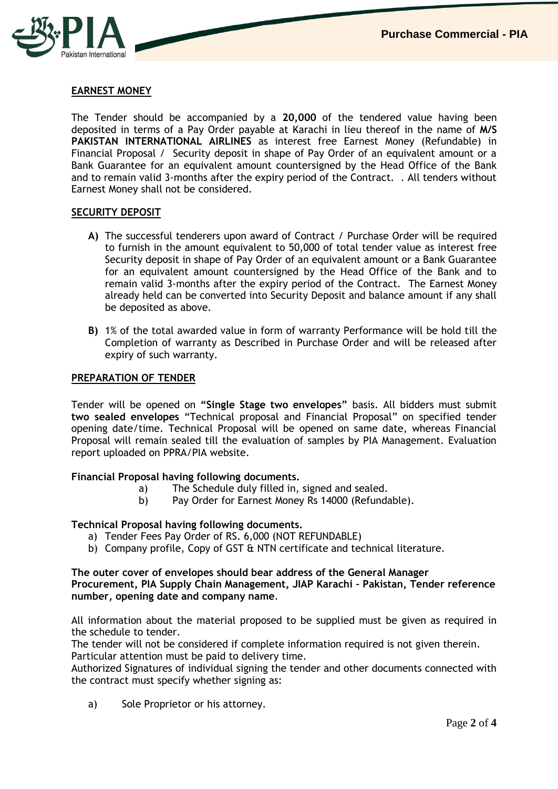

## **EARNEST MONEY**

The Tender should be accompanied by a **20,000** of the tendered value having been deposited in terms of a Pay Order payable at Karachi in lieu thereof in the name of **M/S PAKISTAN INTERNATIONAL AIRLINES** as interest free Earnest Money (Refundable) in Financial Proposal / Security deposit in shape of Pay Order of an equivalent amount or a Bank Guarantee for an equivalent amount countersigned by the Head Office of the Bank and to remain valid 3-months after the expiry period of the Contract. . All tenders without Earnest Money shall not be considered.

#### **SECURITY DEPOSIT**

- **A)** The successful tenderers upon award of Contract / Purchase Order will be required to furnish in the amount equivalent to 50,000 of total tender value as interest free Security deposit in shape of Pay Order of an equivalent amount or a Bank Guarantee for an equivalent amount countersigned by the Head Office of the Bank and to remain valid 3-months after the expiry period of the Contract. The Earnest Money already held can be converted into Security Deposit and balance amount if any shall be deposited as above.
- **B)** 1% of the total awarded value in form of warranty Performance will be hold till the Completion of warranty as Described in Purchase Order and will be released after expiry of such warranty.

#### **PREPARATION OF TENDER**

Tender will be opened on **"Single Stage two envelopes"** basis. All bidders must submit **two sealed envelopes** "Technical proposal and Financial Proposal" on specified tender opening date/time. Technical Proposal will be opened on same date, whereas Financial Proposal will remain sealed till the evaluation of samples by PIA Management. Evaluation report uploaded on PPRA/PIA website.

#### **Financial Proposal having following documents.**

- a) The Schedule duly filled in, signed and sealed.
- b) Pay Order for Earnest Money Rs 14000 (Refundable).

#### **Technical Proposal having following documents.**

- a) Tender Fees Pay Order of RS. 6,000 (NOT REFUNDABLE)
- b) Company profile, Copy of GST & NTN certificate and technical literature.

#### **The outer cover of envelopes should bear address of the General Manager Procurement, PIA Supply Chain Management, JIAP Karachi – Pakistan, Tender reference number, opening date and company name**.

All information about the material proposed to be supplied must be given as required in the schedule to tender.

The tender will not be considered if complete information required is not given therein. Particular attention must be paid to delivery time.

Authorized Signatures of individual signing the tender and other documents connected with the contract must specify whether signing as:

a) Sole Proprietor or his attorney.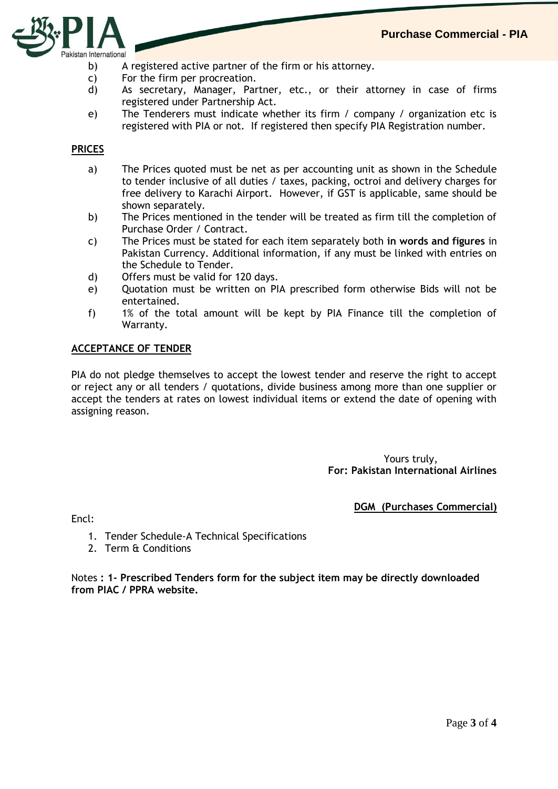

- b) A registered active partner of the firm or his attorney.
- c) For the firm per procreation.
- d) As secretary, Manager, Partner, etc., or their attorney in case of firms registered under Partnership Act.
- e) The Tenderers must indicate whether its firm / company / organization etc is registered with PIA or not. If registered then specify PIA Registration number.

## **PRICES**

- a) The Prices quoted must be net as per accounting unit as shown in the Schedule to tender inclusive of all duties / taxes, packing, octroi and delivery charges for free delivery to Karachi Airport. However, if GST is applicable, same should be shown separately.
- b) The Prices mentioned in the tender will be treated as firm till the completion of Purchase Order / Contract.
- c) The Prices must be stated for each item separately both **in words and figures** in Pakistan Currency. Additional information, if any must be linked with entries on the Schedule to Tender.
- d) Offers must be valid for 120 days.
- e) Quotation must be written on PIA prescribed form otherwise Bids will not be entertained.
- f) 1% of the total amount will be kept by PIA Finance till the completion of Warranty.

#### **ACCEPTANCE OF TENDER**

PIA do not pledge themselves to accept the lowest tender and reserve the right to accept or reject any or all tenders / quotations, divide business among more than one supplier or accept the tenders at rates on lowest individual items or extend the date of opening with assigning reason.

## Yours truly, **For: Pakistan International Airlines**

## **DGM (Purchases Commercial)**

Encl:

- 1. Tender Schedule-A Technical Specifications
- 2. Term & Conditions

Notes **: 1- Prescribed Tenders form for the subject item may be directly downloaded from PIAC / PPRA website.**